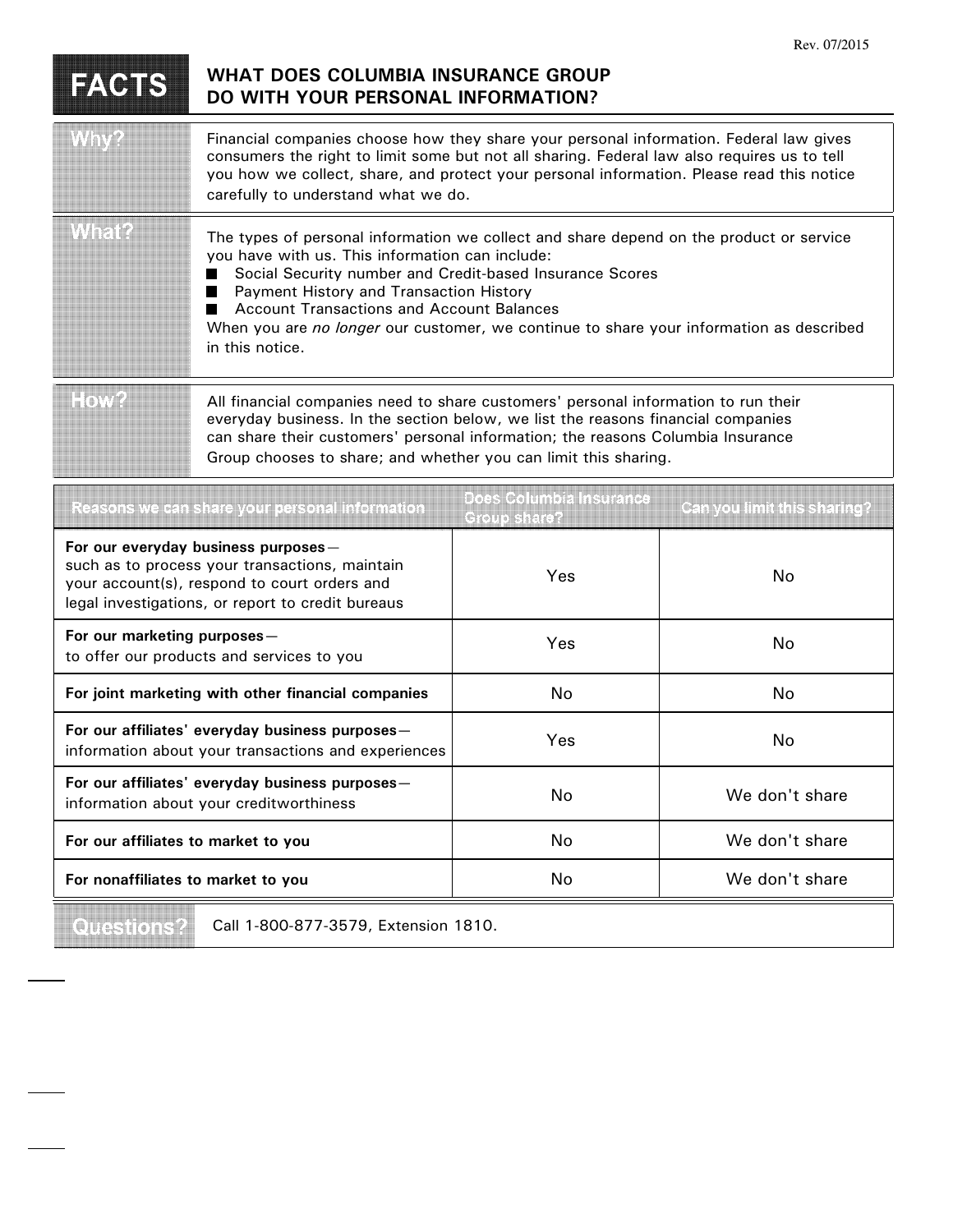|                                                                                                                                                                                            |                                                                                                                                                                                                                                                                                                                                                                                                                          |     | Rev. 07/2015 |  |
|--------------------------------------------------------------------------------------------------------------------------------------------------------------------------------------------|--------------------------------------------------------------------------------------------------------------------------------------------------------------------------------------------------------------------------------------------------------------------------------------------------------------------------------------------------------------------------------------------------------------------------|-----|--------------|--|
| FACTS                                                                                                                                                                                      | <b>WHAT DOES COLUMBIA INSURANCE GROUP</b><br>DO WITH YOUR PERSONAL INFORMATION?                                                                                                                                                                                                                                                                                                                                          |     |              |  |
|                                                                                                                                                                                            | Financial companies choose how they share your personal information. Federal law gives<br>consumers the right to limit some but not all sharing. Federal law also requires us to tell<br>you how we collect, share, and protect your personal information. Please read this notice<br>carefully to understand what we do.                                                                                                |     |              |  |
| winanz                                                                                                                                                                                     | The types of personal information we collect and share depend on the product or service<br>you have with us. This information can include:<br>Social Security number and Credit-based Insurance Scores<br>Payment History and Transaction History<br>ш<br><b>Account Transactions and Account Balances</b><br>When you are no longer our customer, we continue to share your information as described<br>in this notice. |     |              |  |
| Hova                                                                                                                                                                                       | All financial companies need to share customers' personal information to run their<br>everyday business. In the section below, we list the reasons financial companies<br>can share their customers' personal information; the reasons Columbia Insurance<br>Group chooses to share; and whether you can limit this sharing.                                                                                             |     |              |  |
| Does Columbia Insurance<br>Reasons we can share your personal information<br>Can you limit this sharing?<br>Group share?                                                                   |                                                                                                                                                                                                                                                                                                                                                                                                                          |     |              |  |
| For our everyday business purposes-<br>such as to process your transactions, maintain<br>your account(s), respond to court orders and<br>legal investigations, or report to credit bureaus |                                                                                                                                                                                                                                                                                                                                                                                                                          | Yes | No           |  |
| For our marketing purposes -                                                                                                                                                               |                                                                                                                                                                                                                                                                                                                                                                                                                          |     |              |  |

| For our marketing purposes -<br>to offer our products and services to you                              | Yes | No.            |
|--------------------------------------------------------------------------------------------------------|-----|----------------|
| For joint marketing with other financial companies                                                     | No  | No.            |
| For our affiliates' everyday business purposes-<br>information about your transactions and experiences | Yes | No.            |
| For our affiliates' everyday business purposes-<br>information about your creditworthiness             | No  | We don't share |
| For our affiliates to market to you                                                                    | No  | We don't share |
| For nonaffiliates to market to you                                                                     | No  | We don't share |

Questions?

Call 1-800-877-3579, Extension 1810.